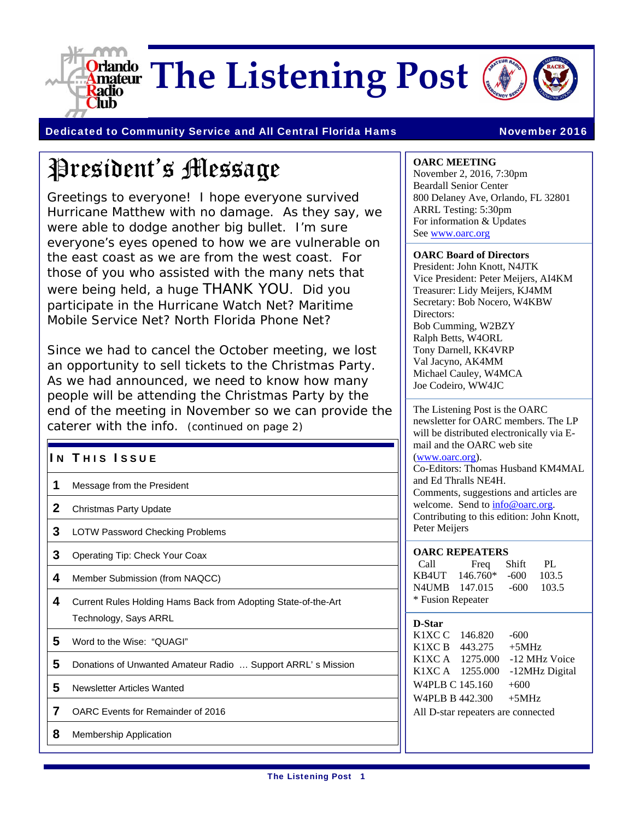

Dedicated to Community Service and All Central Florida Hams November 2016

# President's Message

Greetings to everyone! I hope everyone survived Hurricane Matthew with no damage. As they say, we were able to dodge another big bullet. I'm sure everyone's eyes opened to how we are vulnerable on the east coast as we are from the west coast. For those of you who assisted with the many nets that were being held, a huge THANK YOU. Did you participate in the Hurricane Watch Net? Maritime Mobile Service Net? North Florida Phone Net?

Since we had to cancel the October meeting, we lost an opportunity to sell tickets to the Christmas Party. As we had announced, we need to know how many people will be attending the Christmas Party by the end of the meeting in November so we can provide the caterer with the info. (continued on page 2)

#### IN THIS ISSUE

- 1 Message from the President
- 2 Christmas Party Update
- 3 LOTW Password Checking Problems
- 3 Operating Tip: Check Your Coax
- 4 Member Submission (from NAQCC)
- 4 Current Rules Holding Hams Back from Adopting State-of-the-Art Technology, Says ARRL
- 5 Word to the Wise: "QUAGI"
- 5 Donations of Unwanted Amateur Radio ... Support ARRL's Mission
- 5 Newsletter Articles Wanted
- 7 OARC Events for Remainder of 2016
- 8 Membership Application

#### **OARC MEETING**

November 2, 2016, 7:30pm Beardall Senior Center 800 Delaney Ave, Orlando, FL 32801 ARRL Testing: 5:30pm For information & Updates See www.oarc.org

#### **OARC Board of Directors**

President: John Knott, N4JTK Vice President: Peter Meijers, AI4KM Treasurer: Lidy Meijers, KJ4MM Secretary: Bob Nocero, W4KBW Directors: Bob Cumming, W2BZY Ralph Betts, W4ORL Tony Darnell, KK4VRP Val Jacyno, AK4MM Michael Cauley, W4MCA Joe Codeiro, WW4JC

The Listening Post is the OARC newsletter for OARC members. The LP will be distributed electronically via Email and the OARC web site (www.oarc.org). Co-Editors: Thomas Husband KM4MAL and Ed Thralls NE4H. Comments, suggestions and articles are welcome. Send to  $info@oarc.org$ . Contributing to this edition: John Knott, Peter Meijers

#### **OARC REPEATERS**

| Call              | Freq       | Shift | PL.   |  |
|-------------------|------------|-------|-------|--|
| KB4UT             | $146.760*$ | -600  | 103.5 |  |
| N4UMB 147.015     |            | -600  | 103.5 |  |
| * Fusion Repeater |            |       |       |  |

#### **D-Star**

K1XC C 146.820 -600 K1XC B  $443.275 +5$ MHz K1XC A 1275.000 -12 MHz Voice K1XC A 1255.000 -12MHz Digital W4PLB C 145.160 +600 W4PLB B 442.300 +5MHz All D-star repeaters are connected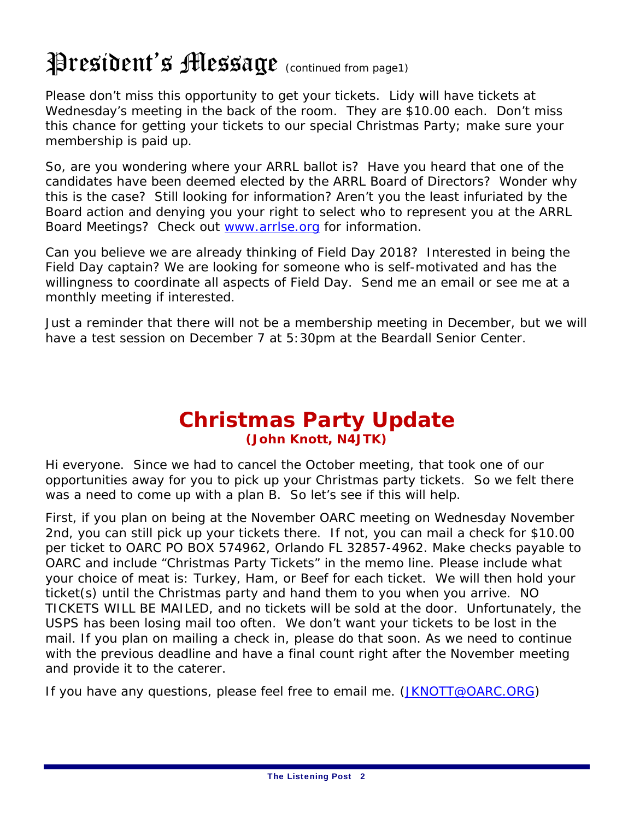# President's **Message** (continued from page1)

Please don't miss this opportunity to get your tickets. Lidy will have tickets at Wednesday's meeting in the back of the room. They are \$10.00 each. Don't miss this chance for getting your tickets to our special Christmas Party; make sure your membership is paid up.

So, are you wondering where your ARRL ballot is? Have you heard that one of the candidates have been deemed elected by the ARRL Board of Directors? Wonder why this is the case? Still looking for information? Aren't you the least infuriated by the Board action and denying you your right to select who to represent you at the ARRL Board Meetings? Check out www.arrlse.org for information.

Can you believe we are already thinking of Field Day 2018? Interested in being the Field Day captain? We are looking for someone who is self-motivated and has the willingness to coordinate all aspects of Field Day. Send me an email or see me at a monthly meeting if interested.

Just a reminder that there will not be a membership meeting in December, but we will have a test session on December 7 at 5:30pm at the Beardall Senior Center.

#### **Christmas Party Update (John Knott, N4JTK)**

Hi everyone. Since we had to cancel the October meeting, that took one of our opportunities away for you to pick up your Christmas party tickets. So we felt there was a need to come up with a plan B. So let's see if this will help.

First, if you plan on being at the November OARC meeting on Wednesday November 2nd, you can still pick up your tickets there. If not, you can mail a check for \$10.00 per ticket to OARC PO BOX 574962, Orlando FL 32857-4962. Make checks payable to OARC and include "Christmas Party Tickets" in the memo line. Please include what your choice of meat is: Turkey, Ham, or Beef for each ticket. We will then hold your ticket(s) until the Christmas party and hand them to you when you arrive. NO TICKETS WILL BE MAILED, and no tickets will be sold at the door. Unfortunately, the USPS has been losing mail too often. We don't want your tickets to be lost in the mail. If you plan on mailing a check in, please do that soon. As we need to continue with the previous deadline and have a final count right after the November meeting and provide it to the caterer.

If you have any questions, please feel free to email me. (JKNOTT@OARC.ORG)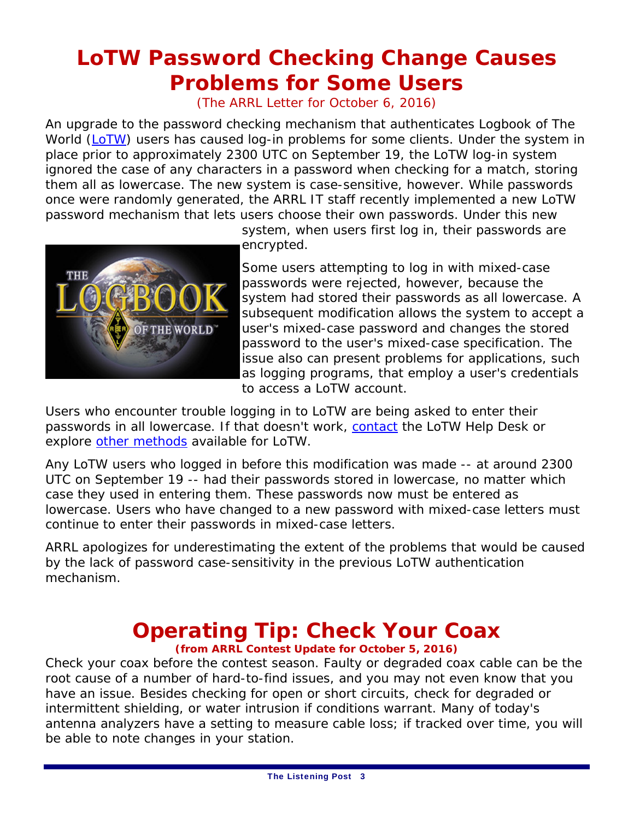## **LoTW Password Checking Change Causes Problems for Some Users**

(The ARRL Letter for October 6, 2016)

An upgrade to the password checking mechanism that authenticates Logbook of The World (LoTW) users has caused log-in problems for some clients. Under the system in place prior to approximately 2300 UTC on September 19, the LoTW log-in system ignored the case of any characters in a password when checking for a match, storing them all as lowercase. The new system is case-sensitive, however. While passwords once were randomly generated, the ARRL IT staff recently implemented a new LoTW password mechanism that lets users choose their own passwords. Under this new



system, when users first log in, their passwords are encrypted.

Some users attempting to log in with mixed-case passwords were rejected, however, because the system had stored their passwords as all lowercase. A subsequent modification allows the system to accept a user's mixed-case password and changes the stored password to the user's mixed-case specification. The issue also can present problems for applications, such as logging programs, that employ a user's credentials to access a LoTW account.

Users who encounter trouble logging in to LoTW are being asked to enter their passwords in all lowercase. If that doesn't work, contact the LoTW Help Desk or explore other methods available for LoTW.

Any LoTW users who logged in before this modification was made -- at around 2300 UTC on September 19 -- had their passwords stored in lowercase, no matter which case they used in entering them. These passwords now must be entered as lowercase. Users who have changed to a new password with mixed-case letters must continue to enter their passwords in mixed-case letters.

ARRL apologizes for underestimating the extent of the problems that would be caused by the lack of password case-sensitivity in the previous LoTW authentication mechanism.

## **Operating Tip: Check Your Coax**

**(from ARRL Contest Update for October 5, 2016)** 

Check your coax before the contest season. Faulty or degraded coax cable can be the root cause of a number of hard-to-find issues, and you may not even know that you have an issue. Besides checking for open or short circuits, check for degraded or intermittent shielding, or water intrusion if conditions warrant. Many of today's antenna analyzers have a setting to measure cable loss; if tracked over time, you will be able to note changes in your station.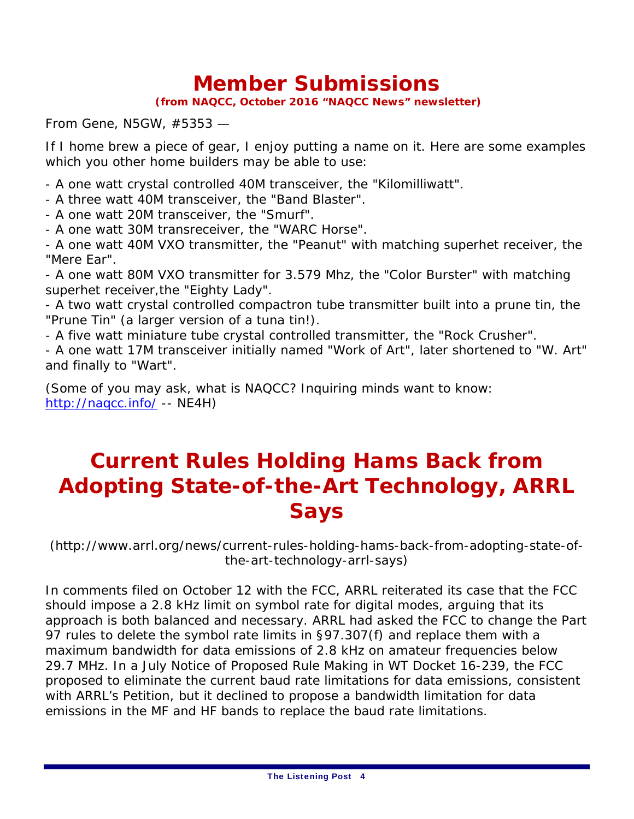### **Member Submissions**

 **(from NAQCC, October 2016 "NAQCC News" newsletter)** 

From Gene, N5GW, #5353 —

If I home brew a piece of gear, I enjoy putting a name on it. Here are some examples which you other home builders may be able to use:

- A one watt crystal controlled 40M transceiver, the "Kilomilliwatt".

- A three watt 40M transceiver, the "Band Blaster".

- A one watt 20M transceiver, the "Smurf".

- A one watt 30M transreceiver, the "WARC Horse".

- A one watt 40M VXO transmitter, the "Peanut" with matching superhet receiver, the "Mere Ear".

- A one watt 80M VXO transmitter for 3.579 Mhz, the "Color Burster" with matching superhet receiver,the "Eighty Lady".

- A two watt crystal controlled compactron tube transmitter built into a prune tin, the "Prune Tin" (a larger version of a tuna tin!).

- A five watt miniature tube crystal controlled transmitter, the "Rock Crusher".

- A one watt 17M transceiver initially named "Work of Art", later shortened to "W. Art" and finally to "Wart".

(Some of you may ask, what is NAQCC? Inquiring minds want to know: http://naqcc.info/ -- NE4H)

### **Current Rules Holding Hams Back from Adopting State-of-the-Art Technology, ARRL Says**

(http://www.arrl.org/news/current-rules-holding-hams-back-from-adopting-state-ofthe-art-technology-arrl-says)

In comments filed on October 12 with the FCC, ARRL reiterated its case that the FCC should impose a 2.8 kHz limit on symbol rate for digital modes, arguing that its approach is both balanced and necessary. ARRL had asked the FCC to change the Part 97 rules to delete the symbol rate limits in §97.307(f) and replace them with a maximum bandwidth for data emissions of 2.8 kHz on amateur frequencies below 29.7 MHz. In a July *Notice of Proposed Rule Making* in WT Docket 16-239, the FCC proposed to eliminate the current baud rate limitations for data emissions, consistent with ARRL's *Petition*, but it declined to propose a *bandwidth* limitation for data emissions in the MF and HF bands to replace the baud rate limitations.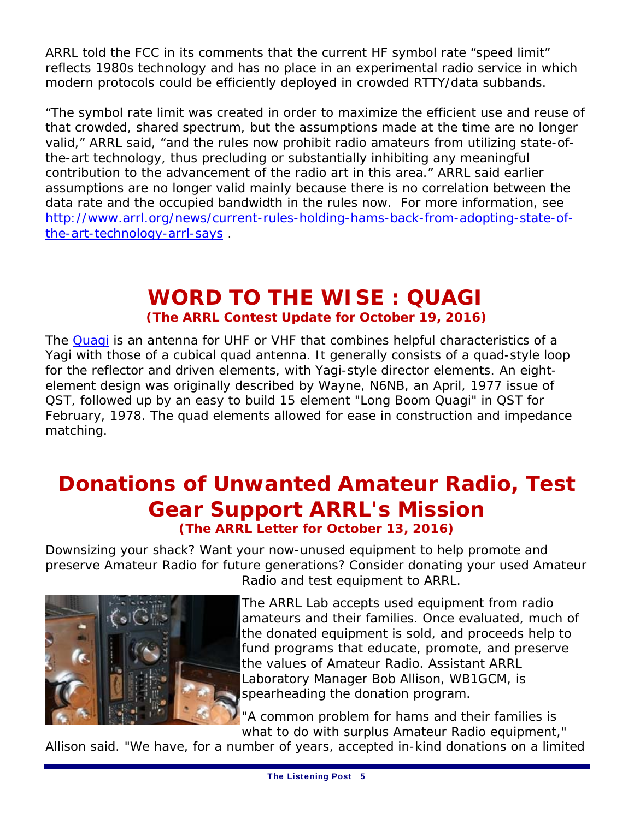ARRL told the FCC in its comments that the current HF symbol rate "speed limit" reflects 1980s technology and has no place in an experimental radio service in which modern protocols could be efficiently deployed in crowded RTTY/data subbands.

"The symbol rate limit was created in order to maximize the efficient use and reuse of that crowded, shared spectrum, but the assumptions made at the time are no longer valid," ARRL said, "and the rules now prohibit radio amateurs from utilizing state-ofthe-art technology, thus precluding or substantially inhibiting any meaningful contribution to the advancement of the radio art in this area." ARRL said earlier assumptions are no longer valid mainly because there is no correlation between the data rate and the occupied bandwidth in the rules now. For more information, see http://www.arrl.org/news/current-rules-holding-hams-back-from-adopting-state-ofthe-art-technology-arrl-says .

### **WORD TO THE WISE : QUAGI (The ARRL Contest Update for October 19, 2016)**

The Quagi is an antenna for UHF or VHF that combines helpful characteristics of a Yagi with those of a cubical quad antenna. It generally consists of a quad-style loop for the reflector and driven elements, with Yagi-style director elements. An eightelement design was originally described by Wayne, N6NB, an April, 1977 issue of *QST,* followed up by an easy to build 15 element "Long Boom Quagi" in *QST* for February, 1978. The quad elements allowed for ease in construction and impedance matching.

### **Donations of Unwanted Amateur Radio, Test Gear Support ARRL's Mission (The ARRL Letter for October 13, 2016)**

Downsizing your shack? Want your now-unused equipment to help promote and preserve Amateur Radio for future generations? Consider donating your used Amateur



Radio and test equipment to ARRL.

The ARRL Lab accepts used equipment from radio amateurs and their families. Once evaluated, much of the donated equipment is sold, and proceeds help to fund programs that educate, promote, and preserve the values of Amateur Radio. Assistant ARRL Laboratory Manager Bob Allison, WB1GCM, is spearheading the donation program.

"A common problem for hams and their families is what to do with surplus Amateur Radio equipment,"

Allison said. "We have, for a number of years, accepted in-kind donations on a limited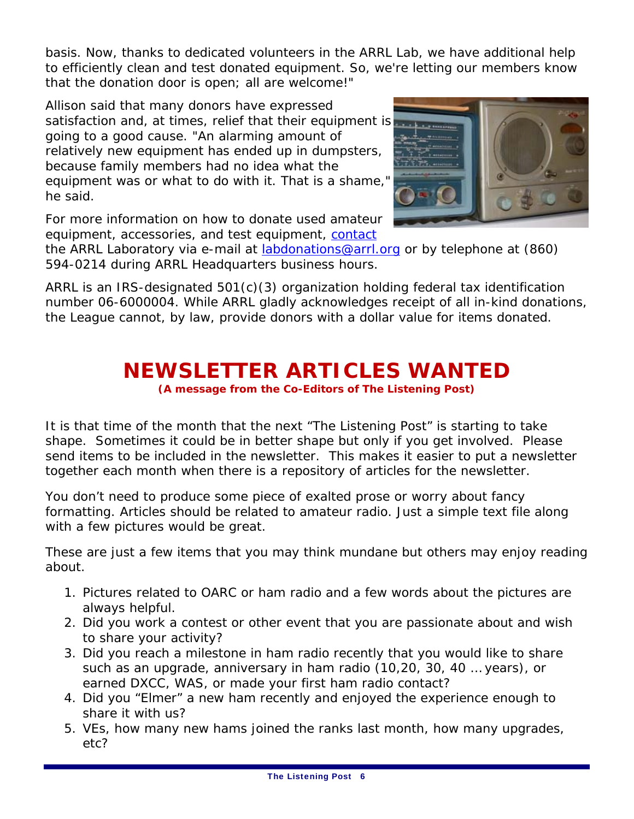basis. Now, thanks to dedicated volunteers in the ARRL Lab, we have additional help to efficiently clean and test donated equipment. So, we're letting our members know that the donation door is open; all are welcome!"

Allison said that many donors have expressed satisfaction and, at times, relief that their equipment is going to a good cause. "An alarming amount of relatively new equipment has ended up in dumpsters, because family members had no idea what the equipment was or what to do with it. That is a shame," he said.



For more information on how to donate used amateur equipment, accessories, and test equipment, contact

the ARRL Laboratory via e-mail at **labdonations@arrl.org** or by telephone at (860) 594-0214 during ARRL Headquarters business hours.

ARRL is an IRS-designated 501(c)(3) organization holding federal tax identification number 06-6000004. While ARRL gladly acknowledges receipt of all in-kind donations, the League cannot, by law, provide donors with a dollar value for items donated.

### **NEWSLETTER ARTICLES WANTED**

**(A message from the Co-Editors of The Listening Post)** 

It is that time of the month that the next "The Listening Post" is starting to take shape. Sometimes it could be in better shape but only if you get involved. Please send items to be included in the newsletter. This makes it easier to put a newsletter together each month when there is a repository of articles for the newsletter.

You don't need to produce some piece of exalted prose or worry about fancy formatting. Articles should be related to amateur radio. Just a simple text file along with a few pictures would be great.

These are just a few items that you may think mundane but others may enjoy reading about.

- 1. Pictures related to OARC or ham radio and a few words about the pictures are always helpful.
- 2. Did you work a contest or other event that you are passionate about and wish to share your activity?
- 3. Did you reach a milestone in ham radio recently that you would like to share such as an upgrade, anniversary in ham radio (10,20, 30, 40 … years), or earned DXCC, WAS, or made your first ham radio contact?
- 4. Did you "Elmer" a new ham recently and enjoyed the experience enough to share it with us?
- 5. VEs, how many new hams joined the ranks last month, how many upgrades, etc?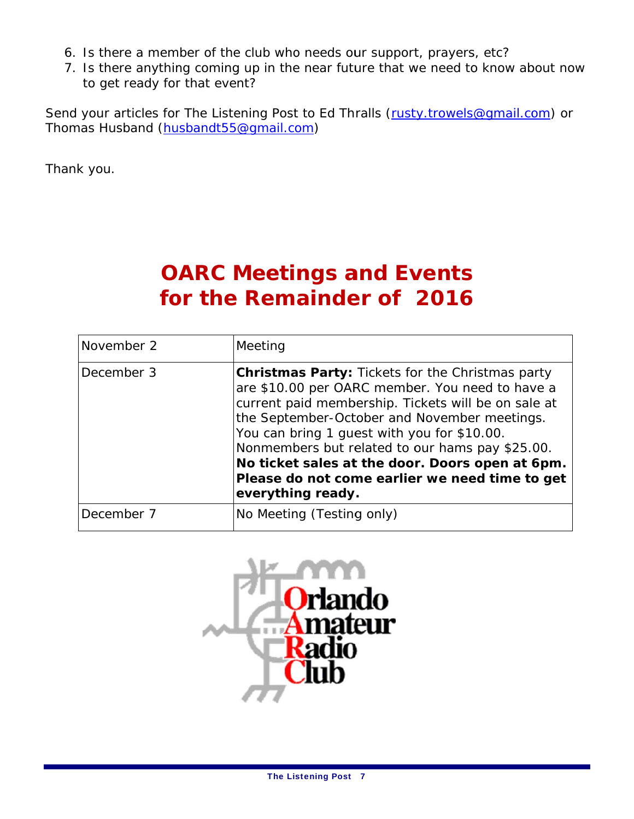- 6. Is there a member of the club who needs our support, prayers, etc?
- 7. Is there anything coming up in the near future that we need to know about now to get ready for that event?

Send your articles for The Listening Post to Ed Thralls (rusty.trowels@gmail.com) or Thomas Husband (husbandt55@gmail.com)

Thank you.

## **OARC Meetings and Events** for the Remainder of 2016

| November 2 | Meeting                                                                                                                                                                                                                                                                                                                                                                                                                                       |
|------------|-----------------------------------------------------------------------------------------------------------------------------------------------------------------------------------------------------------------------------------------------------------------------------------------------------------------------------------------------------------------------------------------------------------------------------------------------|
| December 3 | <b>Christmas Party: Tickets for the Christmas party</b><br>are \$10.00 per OARC member. You need to have a<br>current paid membership. Tickets will be on sale at<br>the September-October and November meetings.<br>You can bring 1 guest with you for \$10.00.<br>Nonmembers but related to our hams pay \$25.00.<br>No ticket sales at the door. Doors open at 6pm.<br>Please do not come earlier we need time to get<br>everything ready. |
| December 7 | No Meeting (Testing only)                                                                                                                                                                                                                                                                                                                                                                                                                     |